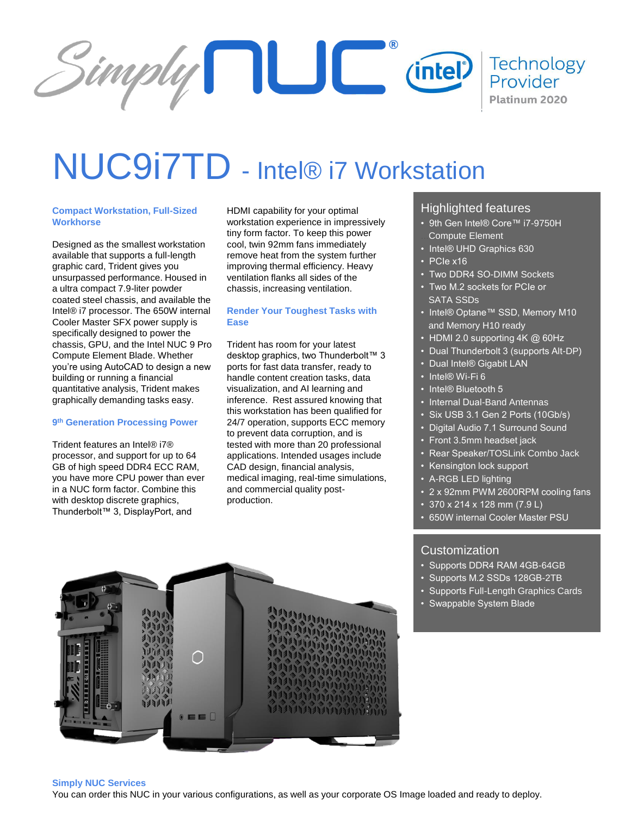

# NUC9i7TD - Intel® i7 Workstation

## **Compact Workstation, Full-Sized Workhorse**

Designed as the smallest workstation available that supports a full-length graphic card, Trident gives you unsurpassed performance. Housed in a ultra compact 7.9-liter powder coated steel chassis, and available the Intel® i7 processor. The 650W internal Cooler Master SFX power supply is specifically designed to power the chassis, GPU, and the Intel NUC 9 Pro Compute Element Blade. Whether you're using AutoCAD to design a new building or running a financial quantitative analysis, Trident makes graphically demanding tasks easy.

#### **9 th Generation Processing Power**

Trident features an Intel® i7® processor, and support for up to 64 GB of high speed DDR4 ECC RAM, you have more CPU power than ever in a NUC form factor. Combine this with desktop discrete graphics, Thunderbolt™ 3, DisplayPort, and

HDMI capability for your optimal workstation experience in impressively tiny form factor. To keep this power cool, twin 92mm fans immediately remove heat from the system further improving thermal efficiency. Heavy ventilation flanks all sides of the chassis, increasing ventilation.

## **Render Your Toughest Tasks with Ease**

Trident has room for your latest desktop graphics, two Thunderbolt™ 3 ports for fast data transfer, ready to handle content creation tasks, data visualization, and AI learning and inference. Rest assured knowing that this workstation has been qualified for 24/7 operation, supports ECC memory to prevent data corruption, and is tested with more than 20 professional applications. Intended usages include CAD design, financial analysis, medical imaging, real-time simulations, and commercial quality postproduction.

# Highlighted features

- 9th Gen Intel® Core™ i7-9750H Compute Element
- Intel® UHD Graphics 630
- $\cdot$  PCIe x16
- Two DDR4 SO-DIMM Sockets
- Two M.2 sockets for PCIe or SATA SSDs
- Intel® Optane™ SSD, Memory M10 and Memory H10 ready
- HDMI 2.0 supporting 4K @ 60Hz
- Dual Thunderbolt 3 (supports Alt-DP)
- Dual Intel® Gigabit LAN
- Intel® Wi-Fi 6
- Intel® Bluetooth 5
- Internal Dual-Band Antennas
- Six USB 3.1 Gen 2 Ports (10Gb/s)
- Digital Audio 7.1 Surround Sound
- Front 3.5mm headset jack
- Rear Speaker/TOSLink Combo Jack
- Kensington lock support
- A-RGB LED lighting
- 2 x 92mm PWM 2600RPM cooling fans
- 370 x 214 x 128 mm (7.9 L)
- 650W internal Cooler Master PSU

# **Customization**

- Supports DDR4 RAM 4GB-64GB
- Supports M.2 SSDs 128GB-2TB
- Supports Full-Length Graphics Cards
- Swappable System Blade



#### **Simply NUC Services**

You can order this NUC in your various configurations, as well as your corporate OS Image loaded and ready to deploy.